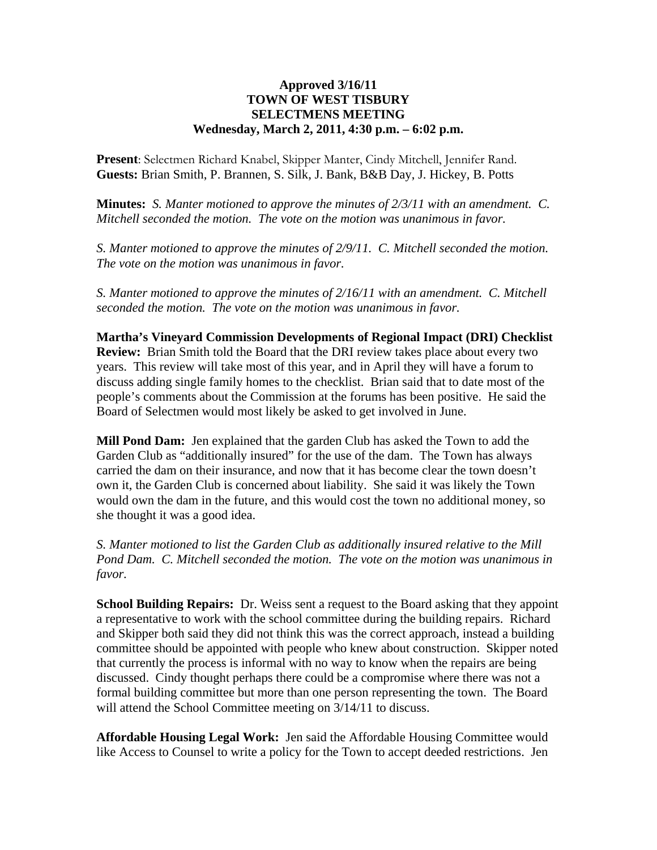## **Approved 3/16/11 TOWN OF WEST TISBURY SELECTMENS MEETING Wednesday, March 2, 2011, 4:30 p.m. – 6:02 p.m.**

**Present**: Selectmen Richard Knabel, Skipper Manter, Cindy Mitchell, Jennifer Rand. **Guests:** Brian Smith, P. Brannen, S. Silk, J. Bank, B&B Day, J. Hickey, B. Potts

**Minutes:** *S. Manter motioned to approve the minutes of 2/3/11 with an amendment. C. Mitchell seconded the motion. The vote on the motion was unanimous in favor.* 

*S. Manter motioned to approve the minutes of 2/9/11. C. Mitchell seconded the motion. The vote on the motion was unanimous in favor.* 

*S. Manter motioned to approve the minutes of 2/16/11 with an amendment. C. Mitchell seconded the motion. The vote on the motion was unanimous in favor.* 

**Martha's Vineyard Commission Developments of Regional Impact (DRI) Checklist Review:** Brian Smith told the Board that the DRI review takes place about every two years. This review will take most of this year, and in April they will have a forum to discuss adding single family homes to the checklist. Brian said that to date most of the people's comments about the Commission at the forums has been positive. He said the Board of Selectmen would most likely be asked to get involved in June.

**Mill Pond Dam:** Jen explained that the garden Club has asked the Town to add the Garden Club as "additionally insured" for the use of the dam. The Town has always carried the dam on their insurance, and now that it has become clear the town doesn't own it, the Garden Club is concerned about liability. She said it was likely the Town would own the dam in the future, and this would cost the town no additional money, so she thought it was a good idea.

*S. Manter motioned to list the Garden Club as additionally insured relative to the Mill Pond Dam. C. Mitchell seconded the motion. The vote on the motion was unanimous in favor.*

**School Building Repairs:** Dr. Weiss sent a request to the Board asking that they appoint a representative to work with the school committee during the building repairs. Richard and Skipper both said they did not think this was the correct approach, instead a building committee should be appointed with people who knew about construction. Skipper noted that currently the process is informal with no way to know when the repairs are being discussed. Cindy thought perhaps there could be a compromise where there was not a formal building committee but more than one person representing the town. The Board will attend the School Committee meeting on  $3/14/11$  to discuss.

**Affordable Housing Legal Work:** Jen said the Affordable Housing Committee would like Access to Counsel to write a policy for the Town to accept deeded restrictions. Jen